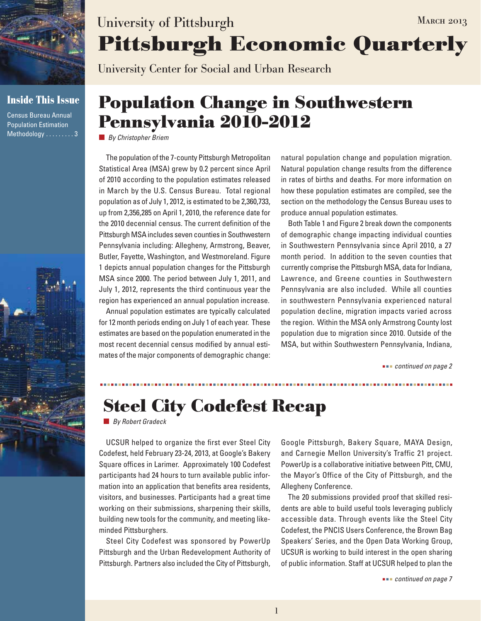

### **Inside This Issue**

Census Bureau Annual Population Estimation Methodology . . . . . . . . . 3



# **Pittsburgh Economic Quarterly** University of Pittsburgh MARCH 2013

University Center for Social and Urban Research

### **Population Change in Southwestern Pennsylvania 2010-2012**

*By Christopher Briem*

The population of the 7-county Pittsburgh Metropolitan Statistical Area (MSA) grew by 0.2 percent since April of 2010 according to the population estimates released in March by the U.S. Census Bureau. Total regional population as of July 1, 2012, is estimated to be 2,360,733, up from 2,356,285 on April 1, 2010, the reference date for the 2010 decennial census. The current definition of the Pittsburgh MSA includes seven counties in Southwestern Pennsylvania including: Allegheny, Armstrong, Beaver, Butler, Fayette, Washington, and Westmoreland. Figure 1 depicts annual population changes for the Pittsburgh MSA since 2000. The period between July 1, 2011, and July 1, 2012, represents the third continuous year the region has experienced an annual population increase.

Annual population estimates are typically calculated for 12 month periods ending on July 1 of each year. These estimates are based on the population enumerated in the most recent decennial census modified by annual estimates of the major components of demographic change: natural population change and population migration. Natural population change results from the difference in rates of births and deaths. For more information on how these population estimates are compiled, see the section on the methodology the Census Bureau uses to produce annual population estimates.

Both Table 1 and Figure 2 break down the components of demographic change impacting individual counties in Southwestern Pennsylvania since April 2010, a 27 month period. In addition to the seven counties that currently comprise the Pittsburgh MSA, data for Indiana, Lawrence, and Greene counties in Southwestern Pennsylvania are also included. While all counties in southwestern Pennsylvania experienced natural population decline, migration impacts varied across the region. Within the MSA only Armstrong County lost population due to migration since 2010. Outside of the MSA, but within Southwestern Pennsylvania, Indiana,

 *continued on page 2*

## **Steel City Codefest Recap**

*By Robert Gradeck*

UCSUR helped to organize the first ever Steel City Codefest, held February 23-24, 2013, at Google's Bakery Square offices in Larimer. Approximately 100 Codefest participants had 24 hours to turn available public information into an application that benefits area residents, visitors, and businesses. Participants had a great time working on their submissions, sharpening their skills, building new tools for the community, and meeting likeminded Pittsburghers.

Steel City Codefest was sponsored by PowerUp Pittsburgh and the Urban Redevelopment Authority of Pittsburgh. Partners also included the City of Pittsburgh,

Google Pittsburgh, Bakery Square, MAYA Design, and Carnegie Mellon University's Traffic 21 project. PowerUp is a collaborative initiative between Pitt, CMU, the Mayor's Office of the City of Pittsburgh, and the Allegheny Conference.

The 20 submissions provided proof that skilled residents are able to build useful tools leveraging publicly accessible data. Through events like the Steel City Codefest, the PNCIS Users Conference, the Brown Bag Speakers' Series, and the Open Data Working Group, UCSUR is working to build interest in the open sharing of public information. Staff at UCSUR helped to plan the

 *continued on page 7*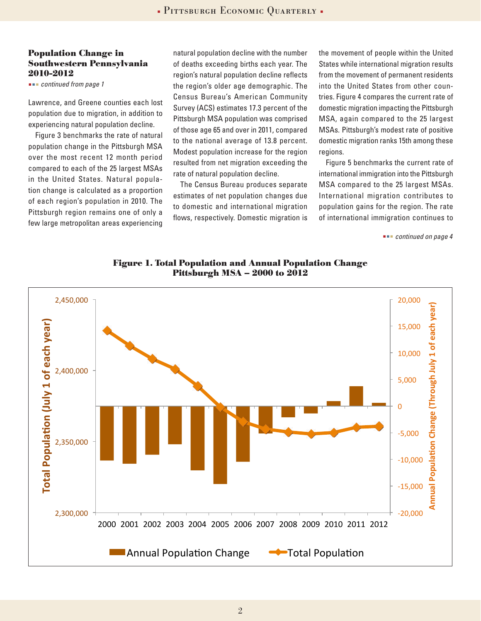#### **Population Change in Southwestern Pennsylvania 2010-2012**

 *continued from page 1*

Lawrence, and Greene counties each lost population due to migration, in addition to experiencing natural population decline.

Figure 3 benchmarks the rate of natural population change in the Pittsburgh MSA over the most recent 12 month period compared to each of the 25 largest MSAs in the United States. Natural population change is calculated as a proportion of each region's population in 2010. The Pittsburgh region remains one of only a few large metropolitan areas experiencing

natural population decline with the number of deaths exceeding births each year. The region's natural population decline reflects the region's older age demographic. The Census Bureau's American Community Survey (ACS) estimates 17.3 percent of the Pittsburgh MSA population was comprised of those age 65 and over in 2011, compared to the national average of 13.8 percent. Modest population increase for the region resulted from net migration exceeding the rate of natural population decline.

The Census Bureau produces separate estimates of net population changes due to domestic and international migration flows, respectively. Domestic migration is the movement of people within the United States while international migration results from the movement of permanent residents into the United States from other countries. Figure 4 compares the current rate of domestic migration impacting the Pittsburgh MSA, again compared to the 25 largest MSAs. Pittsburgh's modest rate of positive domestic migration ranks 15th among these regions.

Figure 5 benchmarks the current rate of international immigration into the Pittsburgh MSA compared to the 25 largest MSAs. International migration contributes to population gains for the region. The rate of international immigration continues to

 *continued on page 4*



**Figure 1. Total Population and Annual Population Change Pittsburgh MSA – 2000 to 2012**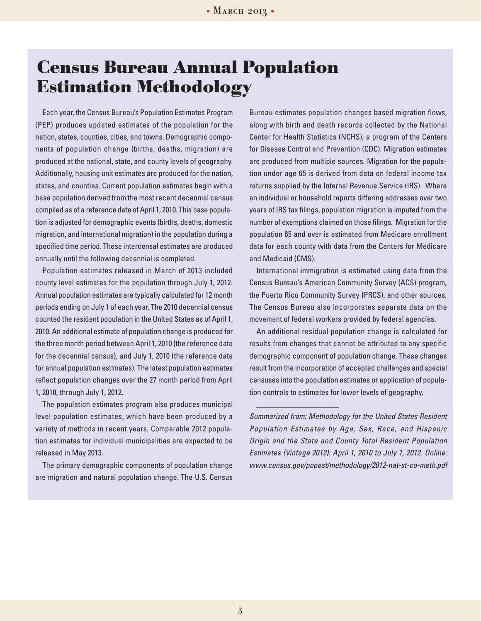### **Census Bureau Annual Population Estimation Methodology**

Each year, the Census Bureau's Population Estimates Program (PEP) produces updated estimates of the population for the nation, states, counties, cities, and towns. Demographic components of population change (births, deaths, migration) are produced at the national, state, and county levels of geography. Additionally, housing unit estimates are produced for the nation, states, and counties. Current population estimates begin with a base population derived from the most recent decennial census compiled as of a reference date of April 1, 2010. This base population is adjusted for demographic events (births, deaths, domestic migration, and international migration) in the population during a specified time period. These intercensal estimates are produced annually until the following decennial is completed.

Population estimates released in March of 2013 included county level estimates for the population through July 1, 2012. Annual population estimates are typically calculated for 12 month periods ending on July 1 of each year. The 2010 decennial census counted the resident population in the United States as of April 1, 2010. An additional estimate of population change is produced for the three month period between April 1, 2010 (the reference date for the decennial census), and July 1, 2010 (the reference date for annual population estimates). The latest population estimates reflect population changes over the 27 month period from April 1, 2010, through July 1, 2012.

The population estimates program also produces municipal level population estimates, which have been produced by a variety of methods in recent years. Comparable 2012 population estimates for individual municipalities are expected to be released in May 2013.

The primary demographic components of population change are migration and natural population change. The U.S. Census Bureau estimates population changes based migration flows, along with birth and death records collected by the National Center for Health Statistics (NCHS), a program of the Centers for Disease Control and Prevention (CDC). Migration estimates are produced from multiple sources. Migration for the population under age 65 is derived from data on federal income tax returns supplied by the Internal Revenue Service (IRS). Where an individual or household reports differing addresses over two years of IRS tax filings, population migration is imputed from the number of exemptions claimed on those filings. Migration for the population 65 and over is estimated from Medicare enrollment data for each county with data from the Centers for Medicare and Medicaid (CMS).

International immigration is estimated using data from the Census Bureau's American Community Survey (ACS) program, the Puerto Rico Community Survey (PRCS), and other sources. The Census Bureau also incorporates separate data on the movement of federal workers provided by federal agencies.

An additional residual population change is calculated for results from changes that cannot be attributed to any specific demographic component of population change. These changes result from the incorporation of accepted challenges and special censuses into the population estimates or application of population controls to estimates for lower levels of geography.

\_\_\_\_\_\_\_\_\_\_\_\_\_\_\_\_\_\_\_\_\_

*Summarized from: Methodology for the United States Resident Population Estimates by Age, Sex, Race, and Hispanic Origin and the State and County Total Resident Population Estimates (Vintage 2012): April 1, 2010 to July 1, 2012. Online: www.census.gov/popest/methodology/2012-nat-st-co-meth.pdf*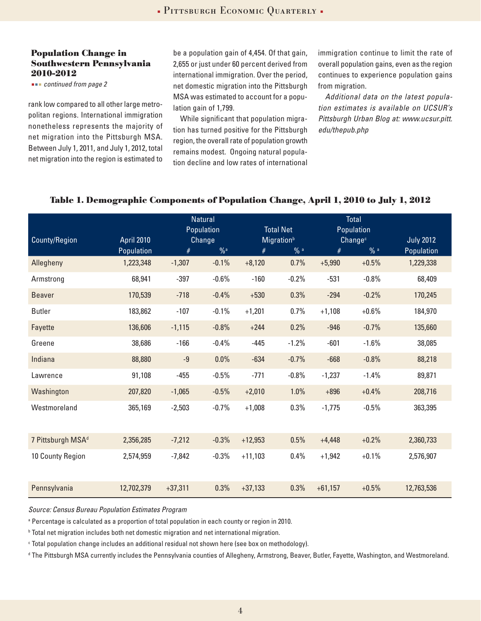#### **Population Change in Southwestern Pennsylvania 2010-2012**

 *continued from page 2*

rank low compared to all other large metropolitan regions. International immigration nonetheless represents the majority of net migration into the Pittsburgh MSA. Between July 1, 2011, and July 1, 2012, total net migration into the region is estimated to be a population gain of 4,454. Of that gain, 2,655 or just under 60 percent derived from international immigration. Over the period, net domestic migration into the Pittsburgh MSA was estimated to account for a population gain of 1,799.

While significant that population migration has turned positive for the Pittsburgh region, the overall rate of population growth remains modest. Ongoing natural population decline and low rates of international

immigration continue to limit the rate of overall population gains, even as the region continues to experience population gains from migration.

*Additional data on the latest population estimates is available on UCSUR's Pittsburgh Urban Blog at: www.ucsur.pitt. edu/thepub.php*

| County/Region                 | <b>April 2010</b> | <b>Natural</b><br>Population<br>Change |                | <b>Total Net</b><br>Migration <sup>b</sup> |         | <b>Total</b><br>Population<br>Change <sup>c</sup> |         | <b>July 2012</b> |
|-------------------------------|-------------------|----------------------------------------|----------------|--------------------------------------------|---------|---------------------------------------------------|---------|------------------|
|                               | Population        | #                                      | $\frac{0}{2}a$ | #                                          | % a     | #                                                 | % a     | Population       |
| Allegheny                     | 1,223,348         | $-1,307$                               | $-0.1%$        | $+8,120$                                   | 0.7%    | $+5,990$                                          | $+0.5%$ | 1,229,338        |
| Armstrong                     | 68,941            | $-397$                                 | $-0.6%$        | $-160$                                     | $-0.2%$ | $-531$                                            | $-0.8%$ | 68,409           |
| <b>Beaver</b>                 | 170,539           | $-718$                                 | $-0.4%$        | $+530$                                     | 0.3%    | $-294$                                            | $-0.2%$ | 170,245          |
| <b>Butler</b>                 | 183,862           | $-107$                                 | $-0.1%$        | $+1,201$                                   | 0.7%    | $+1,108$                                          | $+0.6%$ | 184,970          |
| Fayette                       | 136,606           | $-1,115$                               | $-0.8%$        | $+244$                                     | 0.2%    | $-946$                                            | $-0.7%$ | 135,660          |
| Greene                        | 38,686            | $-166$                                 | $-0.4%$        | $-445$                                     | $-1.2%$ | $-601$                                            | $-1.6%$ | 38,085           |
| Indiana                       | 88,880            | $-9$                                   | 0.0%           | $-634$                                     | $-0.7%$ | $-668$                                            | $-0.8%$ | 88,218           |
| Lawrence                      | 91,108            | $-455$                                 | $-0.5%$        | $-771$                                     | $-0.8%$ | $-1,237$                                          | $-1.4%$ | 89,871           |
| Washington                    | 207,820           | $-1,065$                               | $-0.5%$        | $+2,010$                                   | 1.0%    | $+896$                                            | $+0.4%$ | 208,716          |
| Westmoreland                  | 365,169           | $-2,503$                               | $-0.7%$        | $+1,008$                                   | 0.3%    | $-1,775$                                          | $-0.5%$ | 363,395          |
| 7 Pittsburgh MSA <sup>d</sup> | 2,356,285         | $-7,212$                               | $-0.3%$        | $+12,953$                                  | 0.5%    | $+4,448$                                          | $+0.2%$ | 2,360,733        |
| 10 County Region              | 2,574,959         | $-7,842$                               | $-0.3%$        | $+11,103$                                  | 0.4%    | $+1,942$                                          | $+0.1%$ | 2,576,907        |
| Pennsylvania                  | 12,702,379        | $+37,311$                              | 0.3%           | $+37,133$                                  | 0.3%    | $+61,157$                                         | $+0.5%$ | 12,763,536       |

#### **Table 1. Demographic Components of Population Change, April 1, 2010 to July 1, 2012**

*Source: Census Bureau Population Estimates Program*

a Percentage is calculated as a proportion of total population in each county or region in 2010.

**b** Total net migration includes both net domestic migration and net international migration.

c Total population change includes an additional residual not shown here (see box on methodology).

d The Pittsburgh MSA currently includes the Pennsylvania counties of Allegheny, Armstrong, Beaver, Butler, Fayette, Washington, and Westmoreland.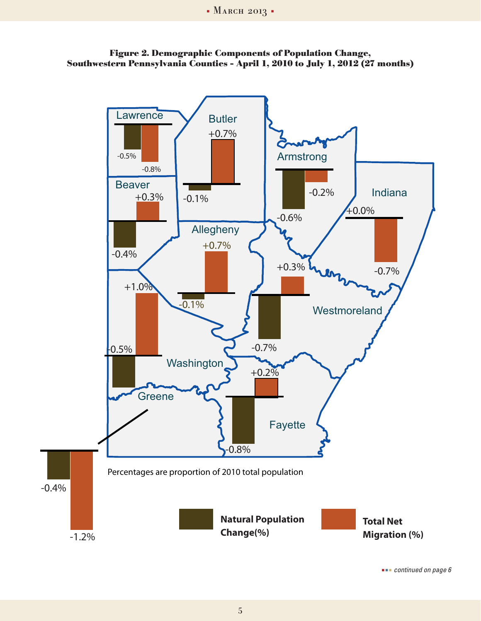



 *continued on page 6*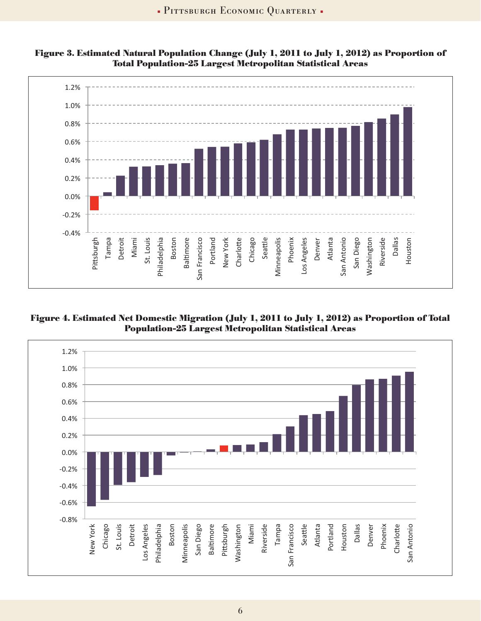

 **Figure 3. Estimated Natural Population Change (July 1, 2011 to July 1, 2012) as Proportion of 
 -
-- Total Population-25 Largest Metropolitan Statistical Areas** *Properties* 

 **-
-- 
Figure 4. Estimated Net Domestic Migration (July 1, 2011 to July 1, 2012) as Proportion of Total Population-25 Largest Metropolitan Statistical Areas -
--** 

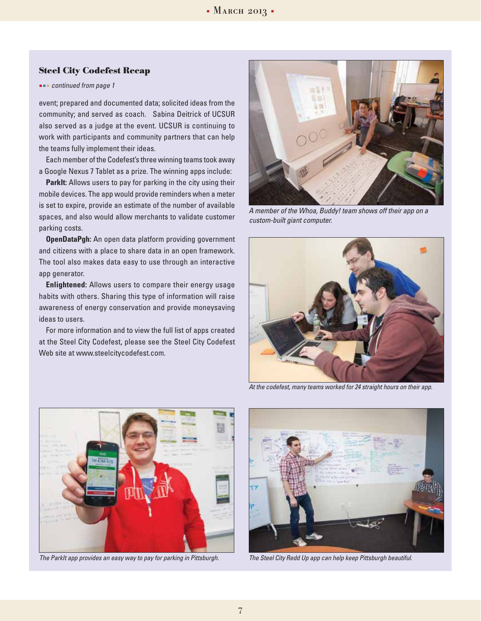#### **Steel City Codefest Recap**

#### *continued from page 1*

event; prepared and documented data; solicited ideas from the community; and served as coach. Sabina Deitrick of UCSUR also served as a judge at the event. UCSUR is continuing to work with participants and community partners that can help the teams fully implement their ideas.

Each member of the Codefest's three winning teams took away a Google Nexus 7 Tablet as a prize. The winning apps include:

**ParkIt:** Allows users to pay for parking in the city using their mobile devices. The app would provide reminders when a meter is set to expire, provide an estimate of the number of available spaces, and also would allow merchants to validate customer parking costs.

**OpenDataPgh:** An open data platform providing government and citizens with a place to share data in an open framework. The tool also makes data easy to use through an interactive app generator.

**Enlightened:** Allows users to compare their energy usage habits with others. Sharing this type of information will raise awareness of energy conservation and provide moneysaving ideas to users.

For more information and to view the full list of apps created at the Steel City Codefest, please see the Steel City Codefest Web site at www.steelcitycodefest.com.



*A member of the Whoa, Buddy! team shows off their app on a custom-built giant computer.*



*At the codefest, many teams worked for 24 straight hours on their app.*



*The ParkIt app provides an easy way to pay for parking in Pittsburgh. The Steel City Redd Up app can help keep Pittsburgh beautiful.*